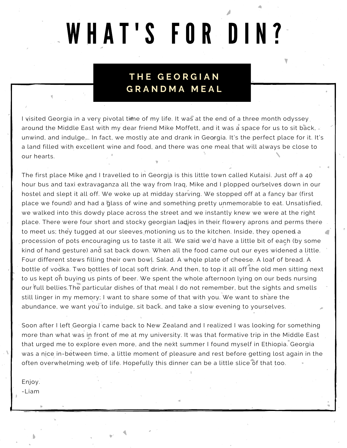# WHAT'S FOR DIN?

## **T H E G E O R G I A N G R A N D M A M E A L**

I visited Georgia in a very pivotal time of my life. It was at the end of a three month odyssey. around the Middle East with my dear friend Mike Moffett, and it was a space for us to sit back, unwind, and indulge…. In fact, we mostly ate and drank in Georgia. It's the perfect place for it. It's a land filled with excellent wine and food, and there was one meal that will always be close to our hearts.

The first place Mike and I travelled to in Georgia is this little town called Kutaisi. Just off a 40 hour bus and taxi extravaganza all the way from Iraq, Mike and I plopped ourselves down in our hostel and slept it all off. We woke up at midday starving. We stopped off at a fancy bar (first place we found) and had a glass of wine and something pretty unmemorable to eat. Unsatisfied, we walked into this dowdy place across the street and we instantly knew we were at the right place. There were four short and stocky georgian ladies in their flowery aprons and perms there to meet us; they tugged at our sleeves motioning us to the kitchen. Inside, they opened a procession of pots encouraging us to taste it all. We said we'd have a little bit of each (by some kind of hand gesture) and sat back down. When all the food came out our eyes widened a little. Four different stews filling their own bowl. Salad. A whole plate of cheese. A loaf of bread. A bottle of vodka. Two bottles of local soft drink. And then, to top it all off the old men sitting next to us kept on buying us pints of beer. We spent the whole afternoon lying on our beds nursing our full bellies.The particular dishes of that meal I do not remember, but the sights and smells still linger in my memory; I want to share some of that with you. We want to share the abundance, we want you to indulge, sit back, and take a slow evening to yourselves.

Soon after I left Georgia I came back to New Zealand and I realized I was looking for something more than what was in front of me at my university. It was that formative trip in the Middle East that urged me to explore even more, and the next summer I found myself in Ethiopia. Georgia was a nice in-between time, a little moment of pleasure and rest before getting lost again in the often overwhelming web of life. Hopefully this dinner can be a little slice of that too.

Enjoy.

-Liam